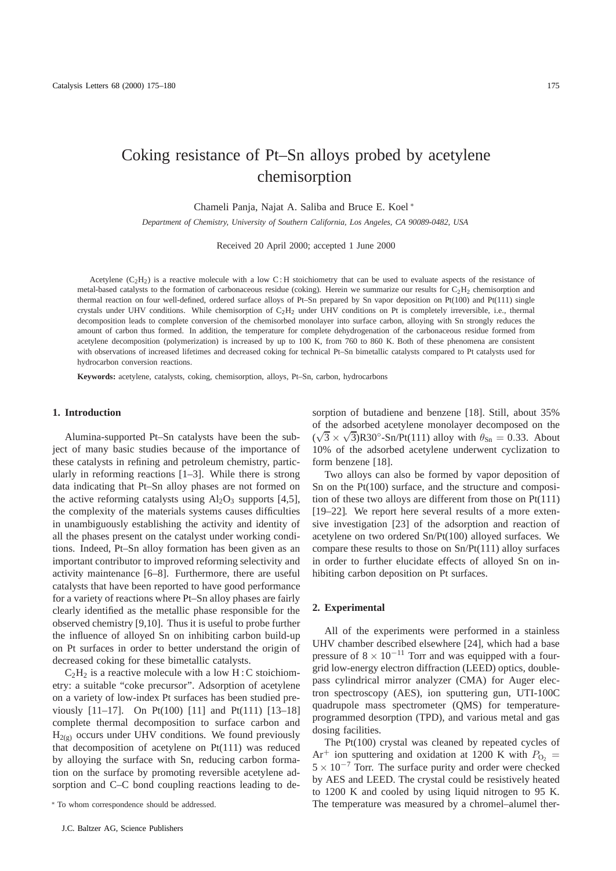# Coking resistance of Pt–Sn alloys probed by acetylene chemisorption

Chameli Panja, Najat A. Saliba and Bruce E. Koel <sup>∗</sup>

*Department of Chemistry, University of Southern California, Los Angeles, CA 90089-0482, USA*

Received 20 April 2000; accepted 1 June 2000

Acetylene  $(C_2H_2)$  is a reactive molecule with a low C: H stoichiometry that can be used to evaluate aspects of the resistance of metal-based catalysts to the formation of carbonaceous residue (coking). Herein we summarize our results for  $C_2H_2$  chemisorption and thermal reaction on four well-defined, ordered surface alloys of Pt–Sn prepared by Sn vapor deposition on Pt(100) and Pt(111) single crystals under UHV conditions. While chemisorption of  $C_2H_2$  under UHV conditions on Pt is completely irreversible, i.e., thermal decomposition leads to complete conversion of the chemisorbed monolayer into surface carbon, alloying with Sn strongly reduces the amount of carbon thus formed. In addition, the temperature for complete dehydrogenation of the carbonaceous residue formed from acetylene decomposition (polymerization) is increased by up to 100 K, from 760 to 860 K. Both of these phenomena are consistent with observations of increased lifetimes and decreased coking for technical Pt-Sn bimetallic catalysts compared to Pt catalysts used for hydrocarbon conversion reactions.

**Keywords:** acetylene, catalysts, coking, chemisorption, alloys, Pt–Sn, carbon, hydrocarbons

### **1. Introduction**

Alumina-supported Pt–Sn catalysts have been the subject of many basic studies because of the importance of these catalysts in refining and petroleum chemistry, particularly in reforming reactions [1–3]. While there is strong data indicating that Pt–Sn alloy phases are not formed on the active reforming catalysts using  $Al_2O_3$  supports [4,5], the complexity of the materials systems causes difficulties in unambiguously establishing the activity and identity of all the phases present on the catalyst under working conditions. Indeed, Pt–Sn alloy formation has been given as an important contributor to improved reforming selectivity and activity maintenance [6–8]. Furthermore, there are useful catalysts that have been reported to have good performance for a variety of reactions where Pt–Sn alloy phases are fairly clearly identified as the metallic phase responsible for the observed chemistry [9,10]. Thus it is useful to probe further the influence of alloyed Sn on inhibiting carbon build-up on Pt surfaces in order to better understand the origin of decreased coking for these bimetallic catalysts.

 $C_2H_2$  is a reactive molecule with a low H : C stoichiometry: a suitable "coke precursor". Adsorption of acetylene on a variety of low-index Pt surfaces has been studied previously [11–17]. On Pt(100) [11] and Pt(111) [13–18] complete thermal decomposition to surface carbon and  $H_{2(p)}$  occurs under UHV conditions. We found previously that decomposition of acetylene on Pt(111) was reduced by alloying the surface with Sn, reducing carbon formation on the surface by promoting reversible acetylene adsorption and C–C bond coupling reactions leading to desorption of butadiene and benzene [18]. Still, about 35% of the adsorbed acetylene monolayer decomposed on the  $(\sqrt{3} \times \sqrt{3})$ R30°-Sn/Pt(111) alloy with  $\theta_{\text{Sn}} = 0.33$ . About 10% of the adsorbed acetylene underwent cyclization to form benzene [18].

Two alloys can also be formed by vapor deposition of Sn on the Pt(100) surface, and the structure and composition of these two alloys are different from those on Pt(111) [19–22]. We report here several results of a more extensive investigation [23] of the adsorption and reaction of acetylene on two ordered Sn/Pt(100) alloyed surfaces. We compare these results to those on Sn/Pt(111) alloy surfaces in order to further elucidate effects of alloyed Sn on inhibiting carbon deposition on Pt surfaces.

## **2. Experimental**

All of the experiments were performed in a stainless UHV chamber described elsewhere [24], which had a base pressure of  $8 \times 10^{-11}$  Torr and was equipped with a fourgrid low-energy electron diffraction (LEED) optics, doublepass cylindrical mirror analyzer (CMA) for Auger electron spectroscopy (AES), ion sputtering gun, UTI-100C quadrupole mass spectrometer (QMS) for temperatureprogrammed desorption (TPD), and various metal and gas dosing facilities.

The Pt(100) crystal was cleaned by repeated cycles of  $Ar^+$  ion sputtering and oxidation at 1200 K with  $P_{\text{O}_2}$  =  $5 \times 10^{-7}$  Torr. The surface purity and order were checked by AES and LEED. The crystal could be resistively heated to 1200 K and cooled by using liquid nitrogen to 95 K. The temperature was measured by a chromel–alumel ther-

<sup>∗</sup> To whom correspondence should be addressed.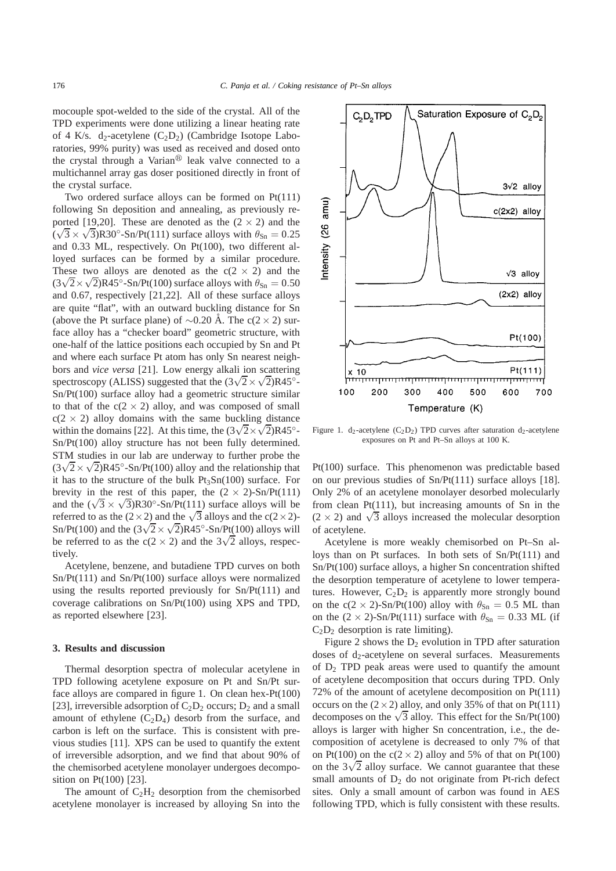mocouple spot-welded to the side of the crystal. All of the TPD experiments were done utilizing a linear heating rate of 4 K/s. d<sub>2</sub>-acetylene  $(C_2D_2)$  (Cambridge Isotope Laboratories, 99% purity) was used as received and dosed onto the crystal through a Varian $\mathcal{P}$  leak valve connected to a multichannel array gas doser positioned directly in front of the crystal surface.

Two ordered surface alloys can be formed on Pt(111) following Sn deposition and annealing, as previously reported [19,20]. These are denoted as the  $(2 \times 2)$  and the ( $\sqrt{3} \times \sqrt{3}$ )R30<sup>°</sup>-Sn/Pt(111) surface alloys with  $\theta_{\text{Sn}} = 0.25$ and 0.33 ML, respectively. On Pt(100), two different alloyed surfaces can be formed by a similar procedure. These two alloys are denoted as the  $c(2 \times 2)$  and the ( $3\sqrt{2} \times \sqrt{2}$ )R45°-Sn/Pt(100) surface alloys with  $\theta_{\text{Sn}} = 0.50$ and 0.67, respectively [21,22]. All of these surface alloys are quite "flat", with an outward buckling distance for Sn (above the Pt surface plane) of ~0.20 Å. The c(2 × 2) surface alloy has a "checker board" geometric structure, with one-half of the lattice positions each occupied by Sn and Pt and where each surface Pt atom has only Sn nearest neighbors and *vice versa* [21]. Low energy alkali ion scattering spectroscopy (ALISS) suggested that the  $(3\sqrt{2} \times \sqrt{2})$ R45<sup>°</sup>-Sn/Pt(100) surface alloy had a geometric structure similar to that of the  $c(2 \times 2)$  alloy, and was composed of small  $c(2 \times 2)$  alloy domains with the same buckling distance within the domains [22]. At this time, the  $(3\sqrt{2} \times \sqrt{2})$ R45<sup>°</sup>-Sn/Pt(100) alloy structure has not been fully determined. STM studies in our lab are underway to further probe the  $(3\sqrt{2} \times \sqrt{2})R45^\circ - Sn/Pt(100)$  alloy and the relationship that it has to the structure of the bulk  $Pt_3Sn(100)$  surface. For brevity in the rest of this paper, the  $(2 \times 2)$ -Sn/Pt(111) and the  $(\sqrt{3} \times \sqrt{3})$ R30°-Sn/Pt(111) surface alloys will be referred to as the  $(2 \times 2)$  and the  $\sqrt{3}$  alloys and the c(2×2)-Sn/Pt(100) and the  $(3\sqrt{2}\times\sqrt{2})R45°$ -Sn/Pt(100) alloys will be referred to as the c(2 × 2) and the  $3\sqrt{2}$  alloys, respectively.

Acetylene, benzene, and butadiene TPD curves on both Sn/Pt(111) and Sn/Pt(100) surface alloys were normalized using the results reported previously for Sn/Pt(111) and coverage calibrations on Sn/Pt(100) using XPS and TPD, as reported elsewhere [23].

#### **3. Results and discussion**

Thermal desorption spectra of molecular acetylene in TPD following acetylene exposure on Pt and Sn/Pt surface alloys are compared in figure 1. On clean hex-Pt(100) [23], irreversible adsorption of  $C_2D_2$  occurs;  $D_2$  and a small amount of ethylene  $(C_2D_4)$  desorb from the surface, and carbon is left on the surface. This is consistent with previous studies [11]. XPS can be used to quantify the extent of irreversible adsorption, and we find that about 90% of the chemisorbed acetylene monolayer undergoes decomposition on Pt(100) [23].

The amount of  $C_2H_2$  desorption from the chemisorbed acetylene monolayer is increased by alloying Sn into the

Figure 1. d<sub>2</sub>-acetylene (C<sub>2</sub>D<sub>2</sub>) TPD curves after saturation d<sub>2</sub>-acetylene exposures on Pt and Pt–Sn alloys at 100 K.

Pt(100) surface. This phenomenon was predictable based on our previous studies of Sn/Pt(111) surface alloys [18]. Only 2% of an acetylene monolayer desorbed molecularly from clean Pt(111), but increasing amounts of Sn in the  $(2 \times 2)$  and  $\sqrt{3}$  alloys increased the molecular desorption of acetylene.

Acetylene is more weakly chemisorbed on Pt–Sn alloys than on Pt surfaces. In both sets of Sn/Pt(111) and Sn/Pt(100) surface alloys, a higher Sn concentration shifted the desorption temperature of acetylene to lower temperatures. However,  $C_2D_2$  is apparently more strongly bound on the c(2 × 2)-Sn/Pt(100) alloy with  $\theta_{\text{Sn}} = 0.5$  ML than on the  $(2 \times 2)$ -Sn/Pt(111) surface with  $\theta_{\text{Sn}} = 0.33$  ML (if  $C_2D_2$  desorption is rate limiting).

Figure 2 shows the  $D_2$  evolution in TPD after saturation doses of  $d_2$ -acetylene on several surfaces. Measurements of  $D_2$  TPD peak areas were used to quantify the amount of acetylene decomposition that occurs during TPD. Only 72% of the amount of acetylene decomposition on Pt(111) occurs on the  $(2 \times 2)$  alloy, and only 35% of that on Pt(111) decomposes on the  $\sqrt{3}$  alloy. This effect for the Sn/Pt(100) alloys is larger with higher Sn concentration, i.e., the decomposition of acetylene is decreased to only 7% of that on Pt(100) on the  $c(2 \times 2)$  alloy and 5% of that on Pt(100) on the  $3\sqrt{2}$  alloy surface. We cannot guarantee that these small amounts of  $D_2$  do not originate from Pt-rich defect sites. Only a small amount of carbon was found in AES following TPD, which is fully consistent with these results.

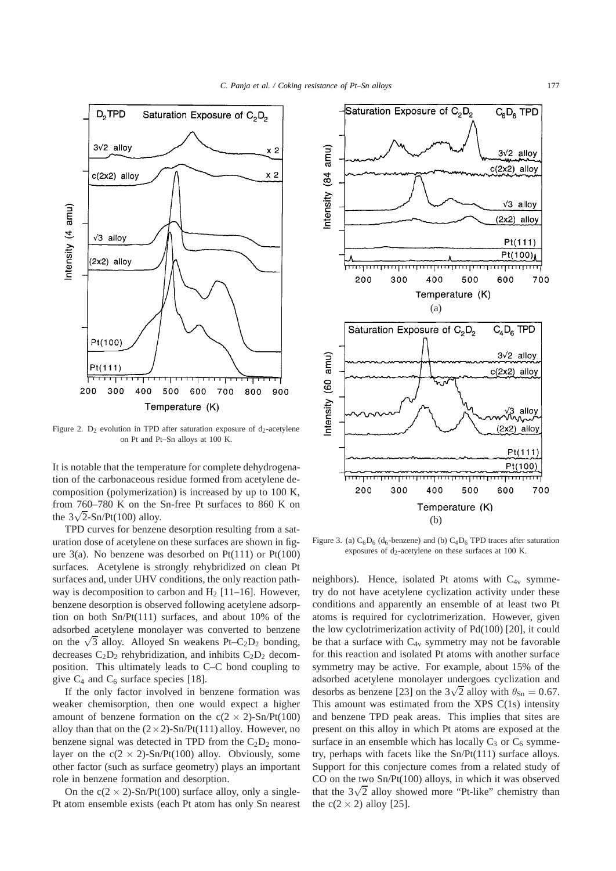

Figure 2.  $D_2$  evolution in TPD after saturation exposure of  $d_2$ -acetylene on Pt and Pt–Sn alloys at 100 K.

It is notable that the temperature for complete dehydrogenation of the carbonaceous residue formed from acetylene decomposition (polymerization) is increased by up to 100 K, from 760–780 K on the Sn-free Pt surfaces to 860 K on the  $3\sqrt{2}$ -Sn/Pt(100) alloy.

TPD curves for benzene desorption resulting from a saturation dose of acetylene on these surfaces are shown in figure  $3(a)$ . No benzene was desorbed on Pt $(111)$  or Pt $(100)$ surfaces. Acetylene is strongly rehybridized on clean Pt surfaces and, under UHV conditions, the only reaction pathway is decomposition to carbon and  $H<sub>2</sub>$  [11–16]. However, benzene desorption is observed following acetylene adsorption on both Sn/Pt(111) surfaces, and about 10% of the adsorbed acetylene monolayer was converted to benzene on the  $\sqrt{3}$  alloy. Alloyed Sn weakens Pt–C<sub>2</sub>D<sub>2</sub> bonding, decreases  $C_2D_2$  rehybridization, and inhibits  $C_2D_2$  decomposition. This ultimately leads to C–C bond coupling to give  $C_4$  and  $C_6$  surface species [18].

If the only factor involved in benzene formation was weaker chemisorption, then one would expect a higher amount of benzene formation on the  $c(2 \times 2)$ -Sn/Pt(100) alloy than that on the  $(2 \times 2)$ -Sn/Pt(111) alloy. However, no benzene signal was detected in TPD from the  $C_2D_2$  monolayer on the  $c(2 \times 2)$ -Sn/Pt(100) alloy. Obviously, some other factor (such as surface geometry) plays an important role in benzene formation and desorption.

On the  $c(2 \times 2)$ -Sn/Pt(100) surface alloy, only a single-Pt atom ensemble exists (each Pt atom has only Sn nearest



Figure 3. (a)  $C_6D_6$  (d<sub>6</sub>-benzene) and (b)  $C_4D_6$  TPD traces after saturation exposures of  $d_2$ -acetylene on these surfaces at 100 K.

neighbors). Hence, isolated Pt atoms with  $C_{4v}$  symmetry do not have acetylene cyclization activity under these conditions and apparently an ensemble of at least two Pt atoms is required for cyclotrimerization. However, given the low cyclotrimerization activity of Pd(100) [20], it could be that a surface with  $C_{4v}$  symmetry may not be favorable for this reaction and isolated Pt atoms with another surface symmetry may be active. For example, about 15% of the adsorbed acetylene monolayer undergoes cyclization and desorbs as benzene [23] on the  $3\sqrt{2}$  alloy with  $\theta_{\text{Sn}} = 0.67$ . This amount was estimated from the XPS  $C(1s)$  intensity and benzene TPD peak areas. This implies that sites are present on this alloy in which Pt atoms are exposed at the surface in an ensemble which has locally  $C_3$  or  $C_6$  symmetry, perhaps with facets like the Sn/Pt(111) surface alloys. Support for this conjecture comes from a related study of CO on the two Sn/Pt(100) alloys, in which it was observed that the  $3\sqrt{2}$  alloy showed more "Pt-like" chemistry than the  $c(2 \times 2)$  alloy [25].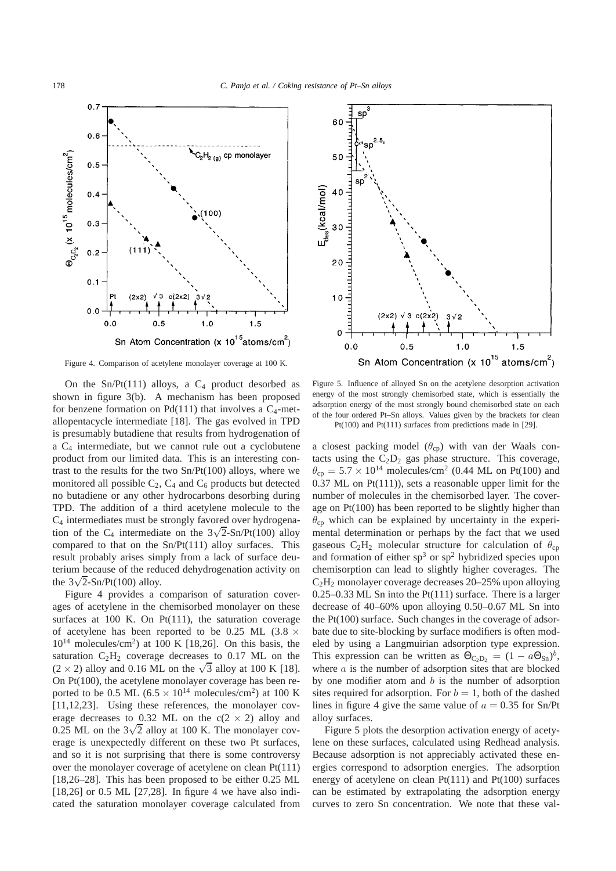

Figure 4. Comparison of acetylene monolayer coverage at 100 K.

On the Sn/Pt(111) alloys, a  $C_4$  product desorbed as shown in figure 3(b). A mechanism has been proposed for benzene formation on  $Pd(111)$  that involves a  $C_4$ -metallopentacycle intermediate [18]. The gas evolved in TPD is presumably butadiene that results from hydrogenation of a  $C_4$  intermediate, but we cannot rule out a cyclobutene product from our limited data. This is an interesting contrast to the results for the two Sn/Pt(100) alloys, where we monitored all possible  $C_2$ ,  $C_4$  and  $C_6$  products but detected no butadiene or any other hydrocarbons desorbing during TPD. The addition of a third acetylene molecule to the C4 intermediates must be strongly favored over hydrogenation of the  $C_4$  intermediate on the  $3\sqrt{2}$ -Sn/Pt(100) alloy compared to that on the  $Sn/Pt(111)$  alloy surfaces. This result probably arises simply from a lack of surface deuterium because of the reduced dehydrogenation activity on the  $3\sqrt{2}$ -Sn/Pt(100) alloy.

Figure 4 provides a comparison of saturation coverages of acetylene in the chemisorbed monolayer on these surfaces at 100 K. On Pt(111), the saturation coverage of acetylene has been reported to be 0.25 ML (3.8  $\times$  $10^{14}$  molecules/cm<sup>2</sup>) at 100 K [18,26]. On this basis, the saturation  $C_2H_2$  coverage decreases to 0.17 ML on the  $(2 \times 2)$  alloy and 0.16 ML on the  $\sqrt{3}$  alloy at 100 K [18]. On Pt(100), the acetylene monolayer coverage has been reported to be 0.5 ML (6.5  $\times$  10<sup>14</sup> molecules/cm<sup>2</sup>) at 100 K [11,12,23]. Using these references, the monolayer coverage decreases to 0.32 ML on the  $c(2 \times 2)$  alloy and 0.25 ML on the  $3\sqrt{2}$  alloy at 100 K. The monolayer coverage is unexpectedly different on these two Pt surfaces, and so it is not surprising that there is some controversy over the monolayer coverage of acetylene on clean Pt(111) [18,26–28]. This has been proposed to be either 0.25 ML [18,26] or 0.5 ML [27,28]. In figure 4 we have also indicated the saturation monolayer coverage calculated from



Figure 5. Influence of alloyed Sn on the acetylene desorption activation energy of the most strongly chemisorbed state, which is essentially the adsorption energy of the most strongly bound chemisorbed state on each of the four ordered Pt–Sn alloys. Values given by the brackets for clean Pt(100) and Pt(111) surfaces from predictions made in [29].

a closest packing model  $(\theta_{cp})$  with van der Waals contacts using the  $C_2D_2$  gas phase structure. This coverage,  $\theta_{cp} = 5.7 \times 10^{14}$  molecules/cm<sup>2</sup> (0.44 ML on Pt(100) and 0.37 ML on Pt(111)), sets a reasonable upper limit for the number of molecules in the chemisorbed layer. The coverage on Pt(100) has been reported to be slightly higher than  $\theta_{cp}$  which can be explained by uncertainty in the experimental determination or perhaps by the fact that we used gaseous  $C_2H_2$  molecular structure for calculation of  $\theta_{\rm cn}$ and formation of either  $sp^3$  or  $sp^2$  hybridized species upon chemisorption can lead to slightly higher coverages. The  $C_2H_2$  monolayer coverage decreases 20–25% upon alloying 0.25–0.33 ML Sn into the Pt(111) surface. There is a larger decrease of 40–60% upon alloying 0.50–0.67 ML Sn into the Pt(100) surface. Such changes in the coverage of adsorbate due to site-blocking by surface modifiers is often modeled by using a Langmuirian adsorption type expression. This expression can be written as  $\Theta_{C_2D_2} = (1 - a\Theta_{\text{Sn}})^b$ , where  $a$  is the number of adsorption sites that are blocked by one modifier atom and  $b$  is the number of adsorption sites required for adsorption. For  $b = 1$ , both of the dashed lines in figure 4 give the same value of  $a = 0.35$  for Sn/Pt alloy surfaces.

Figure 5 plots the desorption activation energy of acetylene on these surfaces, calculated using Redhead analysis. Because adsorption is not appreciably activated these energies correspond to adsorption energies. The adsorption energy of acetylene on clean Pt(111) and Pt(100) surfaces can be estimated by extrapolating the adsorption energy curves to zero Sn concentration. We note that these val-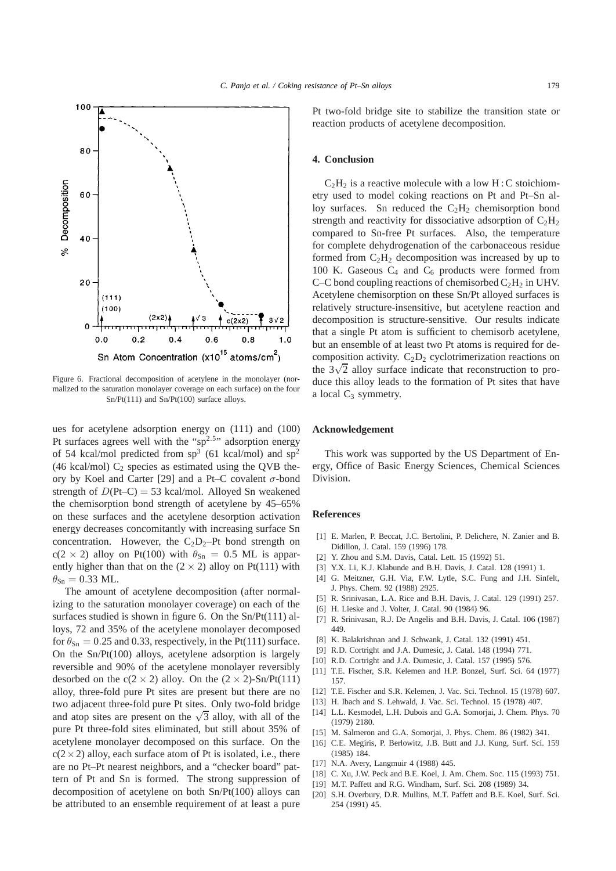

Figure 6. Fractional decomposition of acetylene in the monolayer (normalized to the saturation monolayer coverage on each surface) on the four Sn/Pt(111) and Sn/Pt(100) surface alloys.

ues for acetylene adsorption energy on (111) and (100) Pt surfaces agrees well with the " $sp^{2.5}$ " adsorption energy of 54 kcal/mol predicted from  $sp^3$  (61 kcal/mol) and  $sp^2$ (46 kcal/mol)  $C_2$  species as estimated using the QVB theory by Koel and Carter [29] and a Pt–C covalent  $\sigma$ -bond strength of  $D(Pt-C) = 53$  kcal/mol. Alloyed Sn weakened the chemisorption bond strength of acetylene by 45–65% on these surfaces and the acetylene desorption activation energy decreases concomitantly with increasing surface Sn concentration. However, the  $C_2D_2-Pt$  bond strength on  $c(2 \times 2)$  alloy on Pt(100) with  $\theta_{\text{Sn}} = 0.5$  ML is apparently higher than that on the  $(2 \times 2)$  alloy on Pt(111) with  $\theta_{\text{Sn}} = 0.33$  ML.

The amount of acetylene decomposition (after normalizing to the saturation monolayer coverage) on each of the surfaces studied is shown in figure 6. On the Sn/Pt(111) alloys, 72 and 35% of the acetylene monolayer decomposed for  $\theta_{\rm Sn} = 0.25$  and 0.33, respectively, in the Pt(111) surface. On the Sn/Pt(100) alloys, acetylene adsorption is largely reversible and 90% of the acetylene monolayer reversibly desorbed on the  $c(2 \times 2)$  alloy. On the  $(2 \times 2)$ -Sn/Pt(111) alloy, three-fold pure Pt sites are present but there are no two adjacent three-fold pure Pt sites. Only two-fold bridge and atop sites are present on the  $\sqrt{3}$  alloy, with all of the pure Pt three-fold sites eliminated, but still about 35% of acetylene monolayer decomposed on this surface. On the  $c(2\times2)$  alloy, each surface atom of Pt is isolated, i.e., there are no Pt–Pt nearest neighbors, and a "checker board" pattern of Pt and Sn is formed. The strong suppression of decomposition of acetylene on both Sn/Pt(100) alloys can be attributed to an ensemble requirement of at least a pure

Pt two-fold bridge site to stabilize the transition state or reaction products of acetylene decomposition.

#### **4. Conclusion**

 $C_2H_2$  is a reactive molecule with a low H : C stoichiometry used to model coking reactions on Pt and Pt–Sn alloy surfaces. Sn reduced the  $C_2H_2$  chemisorption bond strength and reactivity for dissociative adsorption of  $C_2H_2$ compared to Sn-free Pt surfaces. Also, the temperature for complete dehydrogenation of the carbonaceous residue formed from  $C_2H_2$  decomposition was increased by up to 100 K. Gaseous  $C_4$  and  $C_6$  products were formed from C–C bond coupling reactions of chemisorbed  $C_2H_2$  in UHV. Acetylene chemisorption on these Sn/Pt alloyed surfaces is relatively structure-insensitive, but acetylene reaction and decomposition is structure-sensitive. Our results indicate that a single Pt atom is sufficient to chemisorb acetylene, but an ensemble of at least two Pt atoms is required for decomposition activity.  $C_2D_2$  cyclotrimerization reactions on the  $3\sqrt{2}$  alloy surface indicate that reconstruction to produce this alloy leads to the formation of Pt sites that have a local  $C_3$  symmetry.

### **Acknowledgement**

This work was supported by the US Department of Energy, Office of Basic Energy Sciences, Chemical Sciences Division.

#### **References**

- [1] E. Marlen, P. Beccat, J.C. Bertolini, P. Delichere, N. Zanier and B. Didillon, J. Catal. 159 (1996) 178.
- [2] Y. Zhou and S.M. Davis, Catal. Lett. 15 (1992) 51.
- [3] Y.X. Li, K.J. Klabunde and B.H. Davis, J. Catal. 128 (1991) 1.
- [4] G. Meitzner, G.H. Via, F.W. Lytle, S.C. Fung and J.H. Sinfelt, J. Phys. Chem. 92 (1988) 2925.
- [5] R. Srinivasan, L.A. Rice and B.H. Davis, J. Catal. 129 (1991) 257.
- [6] H. Lieske and J. Volter, J. Catal. 90 (1984) 96.
- [7] R. Srinivasan, R.J. De Angelis and B.H. Davis, J. Catal. 106 (1987) 449.
- [8] K. Balakrishnan and J. Schwank, J. Catal. 132 (1991) 451.
- [9] R.D. Cortright and J.A. Dumesic, J. Catal. 148 (1994) 771.
- [10] R.D. Cortright and J.A. Dumesic, J. Catal. 157 (1995) 576.
- [11] T.E. Fischer, S.R. Kelemen and H.P. Bonzel, Surf. Sci. 64 (1977) 157.
- [12] T.E. Fischer and S.R. Kelemen, J. Vac. Sci. Technol. 15 (1978) 607.
- [13] H. Ibach and S. Lehwald, J. Vac. Sci. Technol. 15 (1978) 407.
- [14] L.L. Kesmodel, L.H. Dubois and G.A. Somorjai, J. Chem. Phys. 70 (1979) 2180.
- [15] M. Salmeron and G.A. Somorjai, J. Phys. Chem. 86 (1982) 341.
- [16] C.E. Megiris, P. Berlowitz, J.B. Butt and J.J. Kung, Surf. Sci. 159 (1985) 184.
- [17] N.A. Avery, Langmuir 4 (1988) 445.
- [18] C. Xu, J.W. Peck and B.E. Koel, J. Am. Chem. Soc. 115 (1993) 751.
- [19] M.T. Paffett and R.G. Windham, Surf. Sci. 208 (1989) 34.
- [20] S.H. Overbury, D.R. Mullins, M.T. Paffett and B.E. Koel, Surf. Sci. 254 (1991) 45.